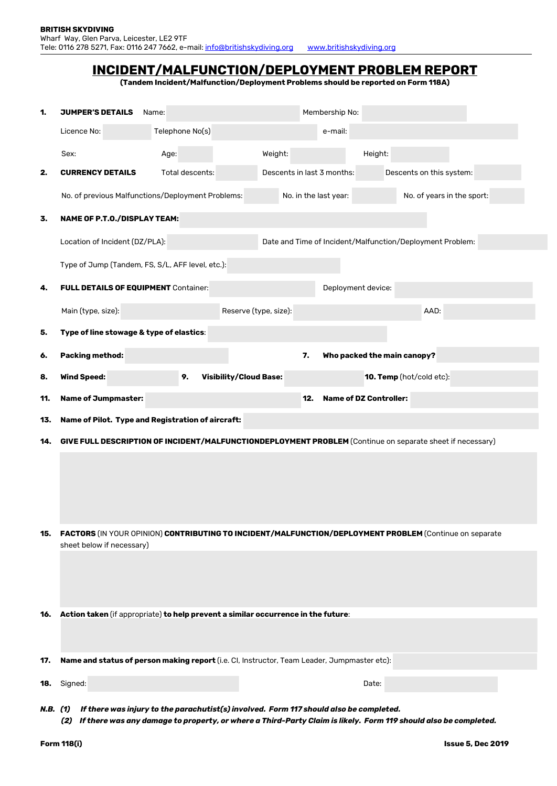| INCIDENT/MALFUNCTION/DEPLOYMENT PROBLEM REPORT |
|------------------------------------------------|
|------------------------------------------------|

**(Tandem Incident/Malfunction/Deployment Problems should be reported on Form 118A)**

| 1.         | <b>JUMPER'S DETAILS</b>                                                                                                              | Name:           |                               |                                                           | Membership No:        |                               |                            |
|------------|--------------------------------------------------------------------------------------------------------------------------------------|-----------------|-------------------------------|-----------------------------------------------------------|-----------------------|-------------------------------|----------------------------|
|            | Licence No:                                                                                                                          | Telephone No(s) |                               |                                                           | e-mail:               |                               |                            |
|            | Sex:                                                                                                                                 | Age:            |                               | Weight:                                                   |                       | Height:                       |                            |
| 2.         | <b>CURRENCY DETAILS</b>                                                                                                              | Total descents: |                               | Descents in last 3 months:                                |                       |                               | Descents on this system:   |
|            | No. of previous Malfunctions/Deployment Problems:                                                                                    |                 |                               |                                                           | No. in the last year: |                               | No. of years in the sport: |
| 3.         | <b>NAME OF P.T.O./DISPLAY TEAM:</b>                                                                                                  |                 |                               |                                                           |                       |                               |                            |
|            | Location of Incident (DZ/PLA):                                                                                                       |                 |                               | Date and Time of Incident/Malfunction/Deployment Problem: |                       |                               |                            |
|            | Type of Jump (Tandem, FS, S/L, AFF level, etc.):                                                                                     |                 |                               |                                                           |                       |                               |                            |
| 4.         | <b>FULL DETAILS OF EQUIPMENT Container:</b>                                                                                          |                 |                               | Deployment device:                                        |                       |                               |                            |
|            | Main (type, size):                                                                                                                   |                 | Reserve (type, size):         |                                                           |                       |                               | AAD:                       |
| 5.         | Type of line stowage & type of elastics:                                                                                             |                 |                               |                                                           |                       |                               |                            |
| 6.         | Packing method:                                                                                                                      |                 |                               | 7.                                                        |                       | Who packed the main canopy?   |                            |
| 8.         | <b>Wind Speed:</b>                                                                                                                   | 9.              | <b>Visibility/Cloud Base:</b> |                                                           |                       | 10. Temp (hot/cold etc):      |                            |
| 11.        |                                                                                                                                      |                 |                               |                                                           |                       |                               |                            |
|            |                                                                                                                                      |                 |                               | 12.                                                       |                       | <b>Name of DZ Controller:</b> |                            |
| 13.        | <b>Name of Jumpmaster:</b>                                                                                                           |                 |                               |                                                           |                       |                               |                            |
|            | Name of Pilot. Type and Registration of aircraft:                                                                                    |                 |                               |                                                           |                       |                               |                            |
| 14.        | GIVE FULL DESCRIPTION OF INCIDENT/MALFUNCTIONDEPLOYMENT PROBLEM (Continue on separate sheet if necessary)                            |                 |                               |                                                           |                       |                               |                            |
|            |                                                                                                                                      |                 |                               |                                                           |                       |                               |                            |
|            |                                                                                                                                      |                 |                               |                                                           |                       |                               |                            |
|            |                                                                                                                                      |                 |                               |                                                           |                       |                               |                            |
| 15.        | FACTORS (IN YOUR OPINION) CONTRIBUTING TO INCIDENT/MALFUNCTION/DEPLOYMENT PROBLEM (Continue on separate<br>sheet below if necessary) |                 |                               |                                                           |                       |                               |                            |
|            |                                                                                                                                      |                 |                               |                                                           |                       |                               |                            |
|            |                                                                                                                                      |                 |                               |                                                           |                       |                               |                            |
|            |                                                                                                                                      |                 |                               |                                                           |                       |                               |                            |
|            | Action taken (if appropriate) to help prevent a similar occurrence in the future:                                                    |                 |                               |                                                           |                       |                               |                            |
|            |                                                                                                                                      |                 |                               |                                                           |                       |                               |                            |
| 16.<br>17. | Name and status of person making report (i.e. CI, Instructor, Team Leader, Jumpmaster etc):                                          |                 |                               |                                                           |                       |                               |                            |
| 18.        | Signed:                                                                                                                              |                 |                               |                                                           |                       | Date:                         |                            |

*(2) If there was any damage to property, or where a Third-Party Claim is likely. Form 119 should also be completed.*